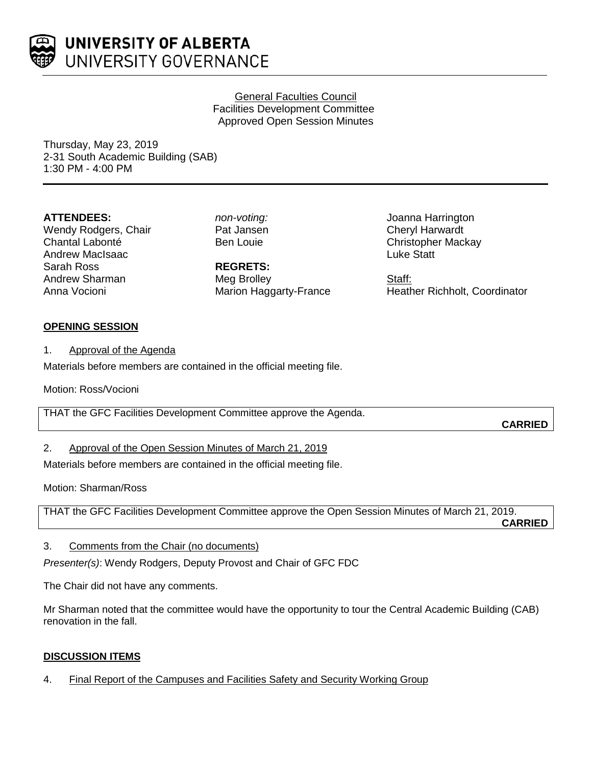

### General Faculties Council Facilities Development Committee Approved Open Session Minutes

Thursday, May 23, 2019 2-31 South Academic Building (SAB) 1:30 PM - 4:00 PM

## **ATTENDEES:**

Wendy Rodgers, Chair Chantal Labonté Andrew MacIsaac Sarah Ross Andrew Sharman Anna Vocioni

*non-voting:* Pat Jansen Ben Louie

**REGRETS:** Meg Brolley Marion Haggarty-France Joanna Harrington Cheryl Harwardt Christopher Mackay Luke Statt

Staff: Heather Richholt, Coordinator

# **OPENING SESSION**

1. Approval of the Agenda

Materials before members are contained in the official meeting file.

Motion: Ross/Vocioni

THAT the GFC Facilities Development Committee approve the Agenda.

**CARRIED**

2. Approval of the Open Session Minutes of March 21, 2019

Materials before members are contained in the official meeting file.

Motion: Sharman/Ross

THAT the GFC Facilities Development Committee approve the Open Session Minutes of March 21, 2019.

**CARRIED**

3. Comments from the Chair (no documents)

*Presenter(s)*: Wendy Rodgers, Deputy Provost and Chair of GFC FDC

The Chair did not have any comments.

Mr Sharman noted that the committee would have the opportunity to tour the Central Academic Building (CAB) renovation in the fall.

# **DISCUSSION ITEMS**

4. Final Report of the Campuses and Facilities Safety and Security Working Group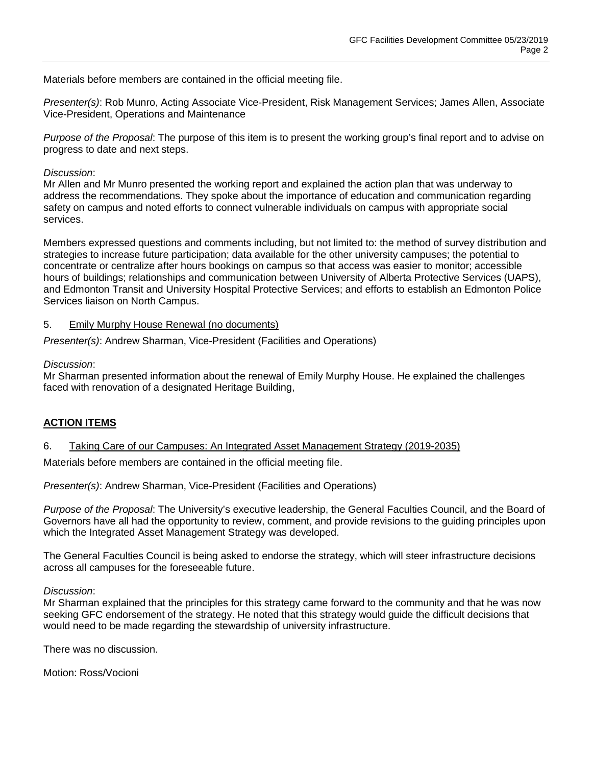Materials before members are contained in the official meeting file.

*Presenter(s)*: Rob Munro, Acting Associate Vice-President, Risk Management Services; James Allen, Associate Vice-President, Operations and Maintenance

*Purpose of the Proposal*: The purpose of this item is to present the working group's final report and to advise on progress to date and next steps.

#### *Discussion*:

Mr Allen and Mr Munro presented the working report and explained the action plan that was underway to address the recommendations. They spoke about the importance of education and communication regarding safety on campus and noted efforts to connect vulnerable individuals on campus with appropriate social services.

Members expressed questions and comments including, but not limited to: the method of survey distribution and strategies to increase future participation; data available for the other university campuses; the potential to concentrate or centralize after hours bookings on campus so that access was easier to monitor; accessible hours of buildings; relationships and communication between University of Alberta Protective Services (UAPS), and Edmonton Transit and University Hospital Protective Services; and efforts to establish an Edmonton Police Services liaison on North Campus.

#### 5. Emily Murphy House Renewal (no documents)

*Presenter(s)*: Andrew Sharman, Vice-President (Facilities and Operations)

#### *Discussion*:

Mr Sharman presented information about the renewal of Emily Murphy House. He explained the challenges faced with renovation of a designated Heritage Building,

## **ACTION ITEMS**

#### 6. Taking Care of our Campuses: An Integrated Asset Management Strategy (2019-2035)

Materials before members are contained in the official meeting file.

*Presenter(s)*: Andrew Sharman, Vice-President (Facilities and Operations)

*Purpose of the Proposal*: The University's executive leadership, the General Faculties Council, and the Board of Governors have all had the opportunity to review, comment, and provide revisions to the guiding principles upon which the Integrated Asset Management Strategy was developed.

The General Faculties Council is being asked to endorse the strategy, which will steer infrastructure decisions across all campuses for the foreseeable future.

*Discussion*:

Mr Sharman explained that the principles for this strategy came forward to the community and that he was now seeking GFC endorsement of the strategy. He noted that this strategy would guide the difficult decisions that would need to be made regarding the stewardship of university infrastructure.

There was no discussion.

Motion: Ross/Vocioni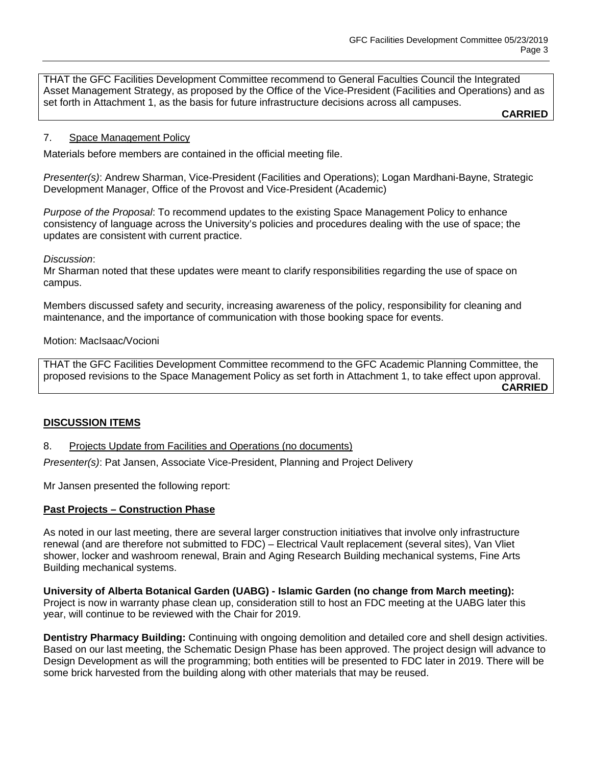THAT the GFC Facilities Development Committee recommend to General Faculties Council the Integrated Asset Management Strategy, as proposed by the Office of the Vice-President (Facilities and Operations) and as set forth in Attachment 1, as the basis for future infrastructure decisions across all campuses.

**CARRIED**

#### 7. Space Management Policy

Materials before members are contained in the official meeting file.

*Presenter(s)*: Andrew Sharman, Vice-President (Facilities and Operations); Logan Mardhani-Bayne, Strategic Development Manager, Office of the Provost and Vice-President (Academic)

*Purpose of the Proposal*: To recommend updates to the existing Space Management Policy to enhance consistency of language across the University's policies and procedures dealing with the use of space; the updates are consistent with current practice.

#### *Discussion*:

Mr Sharman noted that these updates were meant to clarify responsibilities regarding the use of space on campus.

Members discussed safety and security, increasing awareness of the policy, responsibility for cleaning and maintenance, and the importance of communication with those booking space for events.

#### Motion: MacIsaac/Vocioni

THAT the GFC Facilities Development Committee recommend to the GFC Academic Planning Committee, the proposed revisions to the Space Management Policy as set forth in Attachment 1, to take effect upon approval. **CARRIED**

#### **DISCUSSION ITEMS**

8. Projects Update from Facilities and Operations (no documents)

*Presenter(s)*: Pat Jansen, Associate Vice-President, Planning and Project Delivery

Mr Jansen presented the following report:

#### **Past Projects – Construction Phase**

As noted in our last meeting, there are several larger construction initiatives that involve only infrastructure renewal (and are therefore not submitted to FDC) – Electrical Vault replacement (several sites), Van Vliet shower, locker and washroom renewal, Brain and Aging Research Building mechanical systems, Fine Arts Building mechanical systems.

**University of Alberta Botanical Garden (UABG) - Islamic Garden (no change from March meeting):**  Project is now in warranty phase clean up, consideration still to host an FDC meeting at the UABG later this year, will continue to be reviewed with the Chair for 2019.

**Dentistry Pharmacy Building:** Continuing with ongoing demolition and detailed core and shell design activities. Based on our last meeting, the Schematic Design Phase has been approved. The project design will advance to Design Development as will the programming; both entities will be presented to FDC later in 2019. There will be some brick harvested from the building along with other materials that may be reused.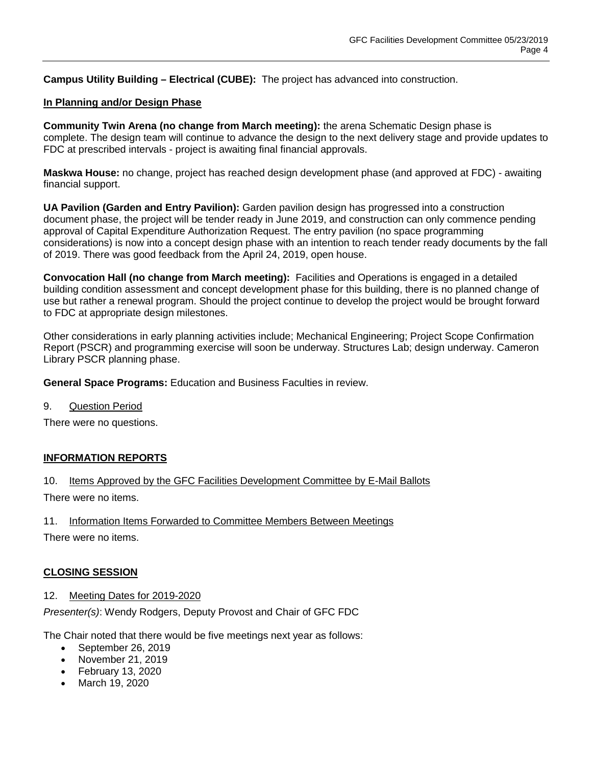**Campus Utility Building – Electrical (CUBE):** The project has advanced into construction.

#### **In Planning and/or Design Phase**

**Community Twin Arena (no change from March meeting):** the arena Schematic Design phase is complete. The design team will continue to advance the design to the next delivery stage and provide updates to FDC at prescribed intervals - project is awaiting final financial approvals.

**Maskwa House:** no change, project has reached design development phase (and approved at FDC) - awaiting financial support.

**UA Pavilion (Garden and Entry Pavilion):** Garden pavilion design has progressed into a construction document phase, the project will be tender ready in June 2019, and construction can only commence pending approval of Capital Expenditure Authorization Request. The entry pavilion (no space programming considerations) is now into a concept design phase with an intention to reach tender ready documents by the fall of 2019. There was good feedback from the April 24, 2019, open house.

**Convocation Hall (no change from March meeting):** Facilities and Operations is engaged in a detailed building condition assessment and concept development phase for this building, there is no planned change of use but rather a renewal program. Should the project continue to develop the project would be brought forward to FDC at appropriate design milestones.

Other considerations in early planning activities include; Mechanical Engineering; Project Scope Confirmation Report (PSCR) and programming exercise will soon be underway. Structures Lab; design underway. Cameron Library PSCR planning phase.

**General Space Programs:** Education and Business Faculties in review.

9. Question Period

There were no questions.

#### **INFORMATION REPORTS**

10. Items Approved by the GFC Facilities Development Committee by E-Mail Ballots

There were no items.

11. Information Items Forwarded to Committee Members Between Meetings

There were no items.

#### **CLOSING SESSION**

#### 12. Meeting Dates for 2019-2020

*Presenter(s)*: Wendy Rodgers, Deputy Provost and Chair of GFC FDC

The Chair noted that there would be five meetings next year as follows:

- September 26, 2019
- November 21, 2019
- February 13, 2020
- March 19, 2020